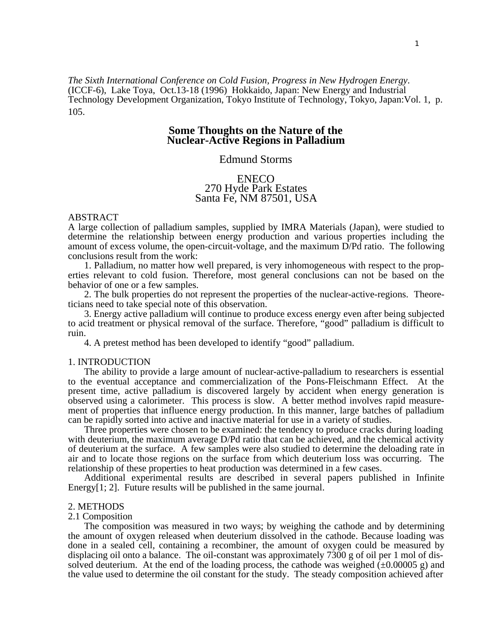*The Sixth International Conference on Cold Fusion, Progress in New Hydrogen Energy*. (ICCF-6), Lake Toya, Oct.13-18 (1996) Hokkaido, Japan: New Energy and Industrial Technology Development Organization, Tokyo Institute of Technology, Tokyo, Japan:Vol. 1, p. 105.

# **Some Thoughts on the Nature of the Nuclear-Active Regions in Palladium**

# Edmund Storms

# ENECO 270 Hyde Park Estates Santa Fe, NM 87501, USA

#### ABSTRACT

A large collection of palladium samples, supplied by IMRA Materials (Japan), were studied to determine the relationship between energy production and various properties including the amount of excess volume, the open-circuit-voltage, and the maximum D/Pd ratio. The following conclusions result from the work:

1. Palladium, no matter how well prepared, is very inhomogeneous with respect to the properties relevant to cold fusion. Therefore, most general conclusions can not be based on the behavior of one or a few samples.

2. The bulk properties do not represent the properties of the nuclear-active-regions. Theoreticians need to take special note of this observation.

3. Energy active palladium will continue to produce excess energy even after being subjected to acid treatment or physical removal of the surface. Therefore, "good" palladium is difficult to ruin.

4. A pretest method has been developed to identify "good" palladium.

## 1. INTRODUCTION

The ability to provide a large amount of nuclear-active-palladium to researchers is essential to the eventual acceptance and commercialization of the Pons-Fleischmann Effect. At the present time, active palladium is discovered largely by accident when energy generation is observed using a calorimeter. This process is slow. A better method involves rapid measurement of properties that influence energy production. In this manner, large batches of palladium can be rapidly sorted into active and inactive material for use in a variety of studies.

Three properties were chosen to be examined: the tendency to produce cracks during loading with deuterium, the maximum average D/Pd ratio that can be achieved, and the chemical activity of deuterium at the surface. A few samples were also studied to determine the deloading rate in air and to locate those regions on the surface from which deuterium loss was occurring. The relationship of these properties to heat production was determined in a few cases.

Additional experimental results are described in several papers published in Infinite Energy[1; 2]. Future results will be published in the same journal.

#### 2. METHODS

#### 2.1 Composition

The composition was measured in two ways; by weighing the cathode and by determining the amount of oxygen released when deuterium dissolved in the cathode. Because loading was done in a sealed cell, containing a recombiner, the amount of oxygen could be measured by displacing oil onto a balance. The oil-constant was approximately 7300 g of oil per 1 mol of dissolved deuterium. At the end of the loading process, the cathode was weighed  $(\pm 0.00005 \text{ g})$  and the value used to determine the oil constant for the study. The steady composition achieved after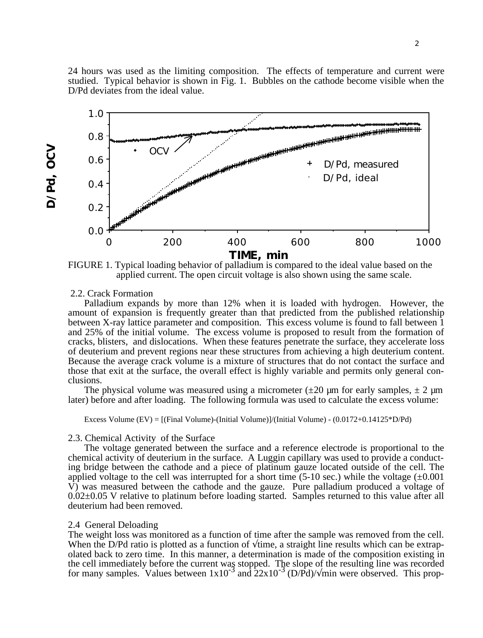24 hours was used as the limiting composition. The effects of temperature and current were studied. Typical behavior is shown in Fig. 1. Bubbles on the cathode become visible when the D/Pd deviates from the ideal value.



FIGURE 1. Typical loading behavior of palladium is compared to the ideal value based on the applied current. The open circuit voltage is also shown using the same scale.

### 2.2. Crack Formation

**D/Pd, OCV**

D/Pd, OCV

Palladium expands by more than 12% when it is loaded with hydrogen. However, the amount of expansion is frequently greater than that predicted from the published relationship between X-ray lattice parameter and composition. This excess volume is found to fall between 1 and 25% of the initial volume. The excess volume is proposed to result from the formation of cracks, blisters, and dislocations. When these features penetrate the surface, they accelerate loss of deuterium and prevent regions near these structures from achieving a high deuterium content. Because the average crack volume is a mixture of structures that do not contact the surface and those that exit at the surface, the overall effect is highly variable and permits only general conclusions.

The physical volume was measured using a micrometer ( $\pm 20 \mu m$  for early samples,  $\pm 2 \mu m$ later) before and after loading. The following formula was used to calculate the excess volume:

Excess Volume (EV) = [(Final Volume)-(Initial Volume)]/(Initial Volume) - (0.0172+0.14125\*D/Pd)

## 2.3. Chemical Activity of the Surface

The voltage generated between the surface and a reference electrode is proportional to the chemical activity of deuterium in the surface. A Luggin capillary was used to provide a conducting bridge between the cathode and a piece of platinum gauze located outside of the cell. The applied voltage to the cell was interrupted for a short time (5-10 sec.) while the voltage  $(\pm 0.001)$  $\hat{V}$ ) was measured between the cathode and the gauze. Pure palladium produced a voltage of  $0.02\pm0.05$  V relative to platinum before loading started. Samples returned to this value after all deuterium had been removed.

## 2.4 General Deloading

The weight loss was monitored as a function of time after the sample was removed from the cell. When the D/Pd ratio is plotted as a function of time, a straight line results which can be extrapolated back to zero time. In this manner, a determination is made of the composition existing in the cell immediately before the current was stopped. The slope of the resulting line was recorded<br>for many samples. Values between  $1x10^{-3}$  and  $22x10^{-3}$  (D/Pd)/ min were observed. This prop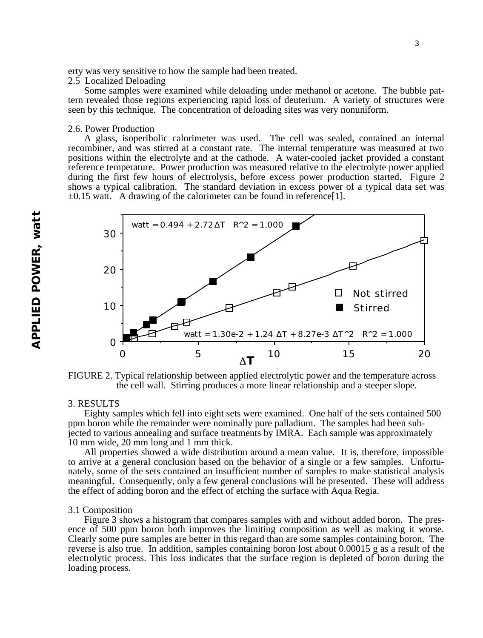erty was very sensitive to how the sample had been treated.

## 2.5 Localized Deloading

Some samples were examined while deloading under methanol or acetone. The bubble pattern revealed those regions experiencing rapid loss of deuterium. A variety of structures were seen by this technique. The concentration of deloading sites was very nonuniform.

## 2.6. Power Production

A glass, isoperibolic calorimeter was used. The cell was sealed, contained an internal recombiner, and was stirred at a constant rate. The internal temperature was measured at two positions within the electrolyte and at the cathode. A water-cooled jacket provided a constant reference temperature. Power production was measured relative to the electrolyte power applied during the first few hours of electrolysis, before excess power production started. Figure 2 shows a typical calibration. The standard deviation in excess power of a typical data set was  $\pm 0.15$  watt. A drawing of the calorimeter can be found in reference [1].





### 3. RESULTS

Eighty samples which fell into eight sets were examined. One half of the sets contained 500 ppm boron while the remainder were nominally pure palladium. The samples had been subjected to various annealing and surface treatments by IMRA. Each sample was approximately 10 mm wide, 20 mm long and 1 mm thick.

All properties showed a wide distribution around a mean value. It is, therefore, impossible to arrive at a general conclusion based on the behavior of a single or a few samples. Unfortunately, some of the sets contained an insufficient number of samples to make statistical analysis meaningful. Consequently, only a few general conclusions will be presented. These will address the effect of adding boron and the effect of etching the surface with Aqua Regia.

#### 3.1 Composition

Figure 3 shows a histogram that compares samples with and without added boron. The presence of 500 ppm boron both improves the limiting composition as well as making it worse. Clearly some pure samples are better in this regard than are some samples containing boron. The reverse is also true. In addition, samples containing boron lost about 0.00015 g as a result of the electrolytic process. This loss indicates that the surface region is depleted of boron during the loading process.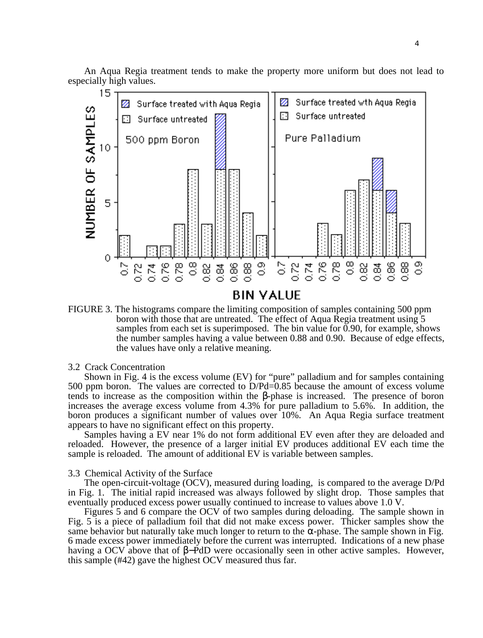An Aqua Regia treatment tends to make the property more uniform but does not lead to especially high values.



FIGURE 3. The histograms compare the limiting composition of samples containing 500 ppm boron with those that are untreated. The effect of Aqua Regia treatment using 5 samples from each set is superimposed. The bin value for  $0.90$ , for example, shows the number samples having a value between 0.88 and 0.90. Because of edge effects, the values have only a relative meaning.

#### 3.2 Crack Concentration

Shown in Fig. 4 is the excess volume (EV) for "pure" palladium and for samples containing 500 ppm boron. The values are corrected to D/Pd=0.85 because the amount of excess volume tends to increase as the composition within the -phase is increased. The presence of boron increases the average excess volume from 4.3% for pure palladium to 5.6%. In addition, the boron produces a significant number of values over 10%. An Aqua Regia surface treatment appears to have no significant effect on this property.

Samples having a EV near 1% do not form additional EV even after they are deloaded and reloaded. However, the presence of a larger initial EV produces additional EV each time the sample is reloaded. The amount of additional EV is variable between samples.

### 3.3 Chemical Activity of the Surface

The open-circuit-voltage (OCV), measured during loading, is compared to the average D/Pd in Fig. 1. The initial rapid increased was always followed by slight drop. Those samples that eventually produced excess power usually continued to increase to values above 1.0 V.

Figures 5 and 6 compare the OCV of two samples during deloading. The sample shown in Fig. 5 is a piece of palladium foil that did not make excess power. Thicker samples show the same behavior but naturally take much longer to return to the -phase. The sample shown in Fig. 6 made excess power immediately before the current was interrupted. Indications of a new phase having a OCV above that of − PdD were occasionally seen in other active samples. However, this sample (#42) gave the highest OCV measured thus far.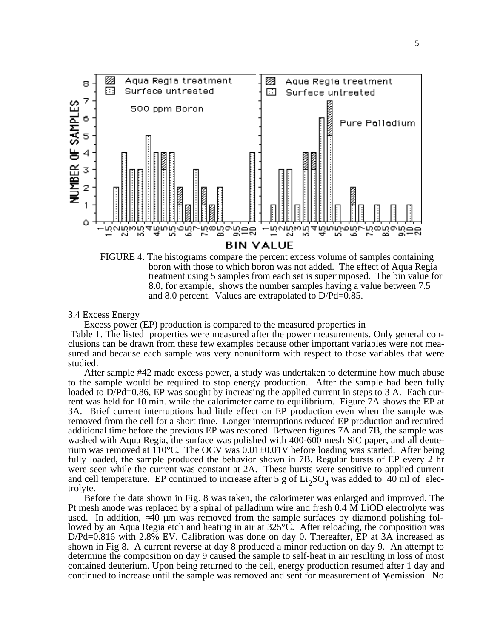

FIGURE 4. The histograms compare the percent excess volume of samples containing boron with those to which boron was not added. The effect of Aqua Regia treatment using 5 samples from each set is superimposed. The bin value for 8.0, for example, shows the number samples having a value between 7.5 and 8.0 percent. Values are extrapolated to D/Pd=0.85.

3.4 Excess Energy

Excess power (EP) production is compared to the measured properties in

 Table 1. The listed properties were measured after the power measurements. Only general conclusions can be drawn from these few examples because other important variables were not measured and because each sample was very nonuniform with respect to those variables that were studied.

After sample #42 made excess power, a study was undertaken to determine how much abuse to the sample would be required to stop energy production. After the sample had been fully loaded to  $D/Pd=0.86$ , EP was sought by increasing the applied current in steps to 3 A. Each current was held for 10 min. while the calorimeter came to equilibrium. Figure 7A shows the EP at 3A. Brief current interruptions had little effect on EP production even when the sample was removed from the cell for a short time. Longer interruptions reduced EP production and required additional time before the previous EP was restored. Between figures 7A and 7B, the sample was washed with Aqua Regia, the surface was polished with 400-600 mesh SiC paper, and all deuterium was removed at  $110^{\circ}$ C. The OCV was  $0.01\pm0.01$ V before loading was started. After being fully loaded, the sample produced the behavior shown in 7B. Regular bursts of EP every 2 hr were seen while the current was constant at 2A. These bursts were sensitive to applied current and cell temperature. EP continued to increase after 5 g of  $Li_2SO_4$  was added to  $\overline{40}$  ml of electricities trolyte.

Before the data shown in Fig. 8 was taken, the calorimeter was enlarged and improved. The Pt mesh anode was replaced by a spiral of palladium wire and fresh 0.4 M LiOD electrolyte was used. In addition, 40 µm was removed from the sample surfaces by diamond polishing followed by an Aqua Regia etch and heating in air at 325°C. After reloading, the composition was D/Pd=0.816 with 2.8% EV. Calibration was done on day 0. Thereafter, EP at 3A increased as shown in Fig 8. A current reverse at day 8 produced a minor reduction on day 9. An attempt to determine the composition on day 9 caused the sample to self-heat in air resulting in loss of most contained deuterium. Upon being returned to the cell, energy production resumed after 1 day and continued to increase until the sample was removed and sent for measurement of -emission. No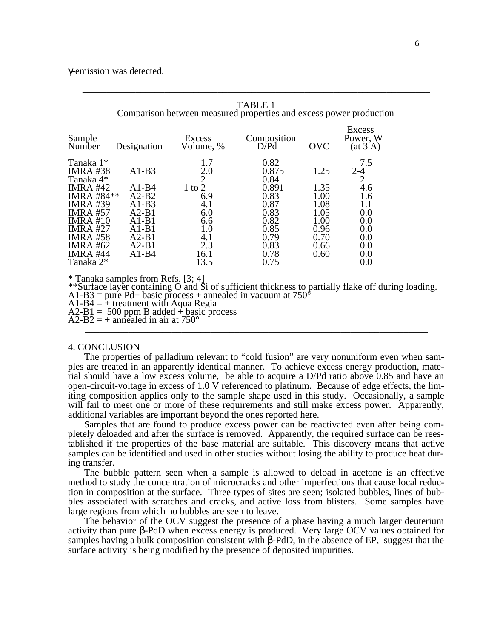-emission was detected.

| Sample<br>Number                                                                                                                                                                                               | Designation                                                                                        | Excess<br>Volume, %                                                                        | Composition<br>D/Pd                                                                            | <b>OVC</b>                                                                   | Excess<br>Power, W<br>(at 3 A)                                                                  |
|----------------------------------------------------------------------------------------------------------------------------------------------------------------------------------------------------------------|----------------------------------------------------------------------------------------------------|--------------------------------------------------------------------------------------------|------------------------------------------------------------------------------------------------|------------------------------------------------------------------------------|-------------------------------------------------------------------------------------------------|
| Tanaka 1*<br><b>IMRA #38</b><br>Tanaka 4*<br><b>IMRA #42</b><br>IMRA #84**<br><b>IMRA #39</b><br><b>IMRA #57</b><br><b>IMRA#10</b><br><b>IMRA #27</b><br><b>IMRA #58</b><br><b>IMRA #62</b><br><b>IMRA #44</b> | $A1-B3$<br>A1-B4<br>$A2-B2$<br>A1-B3<br>$A2-B1$<br>$A1-B1$<br>$A1-B1$<br>$A2-B1$<br>A2-B1<br>A1-B4 | 1.7<br>2.0<br>2<br>$1$ to $2$<br>6.9<br>4.1<br>6.0<br>6.6<br>$1.0\,$<br>4.1<br>2.3<br>16.1 | 0.82<br>0.875<br>0.84<br>0.891<br>0.83<br>0.87<br>0.83<br>0.82<br>0.85<br>0.79<br>0.83<br>0.78 | 1.25<br>1.35<br>1.00<br>1.08<br>1.05<br>1.00<br>0.96<br>0.70<br>0.66<br>0.60 | 7.5<br>$2 - 4$<br>$\overline{2}$<br>4.6<br>1.6<br>1.1<br>0.0<br>0.0<br>0.0<br>0.0<br>0.0<br>0.0 |
| Tanaka 2*                                                                                                                                                                                                      |                                                                                                    | 13.5                                                                                       | 0.75                                                                                           |                                                                              | 0.0                                                                                             |

\* Tanaka samples from Refs. [3; 4]

\*\*Surface layer containing O and Si of sufficient thickness to partially flake off during loading.

 $A1-B3 = pure Pd+ basic process + annealed in vacuum at 750°$ 

 $A1-B4 = +$  treatment with Aqua Regia

 $A2-B1 = 500$  ppm B added + basic process

 $A2-B2 = +$  annealed in air at 750° \_\_\_\_\_\_\_\_\_\_\_\_\_\_\_\_\_\_\_\_\_\_\_\_\_\_\_\_\_\_\_\_\_\_\_\_\_\_\_\_\_\_\_\_\_\_\_\_\_\_\_\_\_\_\_\_\_\_\_\_\_\_\_\_\_\_\_\_\_\_\_

## 4. CONCLUSION

The properties of palladium relevant to "cold fusion" are very nonuniform even when samples are treated in an apparently identical manner. To achieve excess energy production, material should have a low excess volume, be able to acquire a D/Pd ratio above 0.85 and have an open-circuit-voltage in excess of 1.0 V referenced to platinum. Because of edge effects, the limiting composition applies only to the sample shape used in this study. Occasionally, a sample will fail to meet one or more of these requirements and still make excess power. Apparently, additional variables are important beyond the ones reported here.

Samples that are found to produce excess power can be reactivated even after being completely deloaded and after the surface is removed. Apparently, the required surface can be reestablished if the properties of the base material are suitable. This discovery means that active samples can be identified and used in other studies without losing the ability to produce heat during transfer.

The bubble pattern seen when a sample is allowed to deload in acetone is an effective method to study the concentration of microcracks and other imperfections that cause local reduction in composition at the surface. Three types of sites are seen; isolated bubbles, lines of bubbles associated with scratches and cracks, and active loss from blisters. Some samples have large regions from which no bubbles are seen to leave.

The behavior of the OCV suggest the presence of a phase having a much larger deuterium activity than pure -PdD when excess energy is produced. Very large OCV values obtained for samples having a bulk composition consistent with -PdD, in the absence of EP, suggest that the surface activity is being modified by the presence of deposited impurities.

TABLE 1 Comparison between measured properties and excess power production

\_\_\_\_\_\_\_\_\_\_\_\_\_\_\_\_\_\_\_\_\_\_\_\_\_\_\_\_\_\_\_\_\_\_\_\_\_\_\_\_\_\_\_\_\_\_\_\_\_\_\_\_\_\_\_\_\_\_\_\_\_\_\_\_\_\_\_\_\_\_\_\_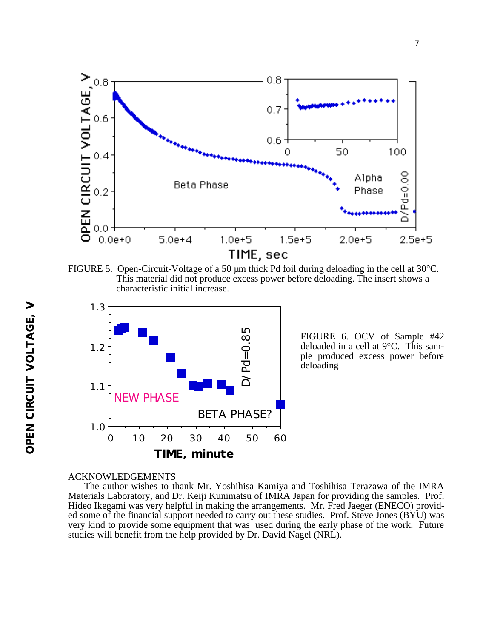

FIGURE 5. Open-Circuit-Voltage of a 50  $\mu$ m thick Pd foil during deloading in the cell at 30°C. This material did not produce excess power before deloading. The insert shows a characteristic initial increase.



FIGURE 6. OCV of Sample #42 deloaded in a cell at 9°C. This sample produced excess power before deloading

## ACKNOWLEDGEMENTS

The author wishes to thank Mr. Yoshihisa Kamiya and Toshihisa Terazawa of the IMRA Materials Laboratory, and Dr. Keiji Kunimatsu of IMRA Japan for providing the samples. Prof. Hideo Ikegami was very helpful in making the arrangements. Mr. Fred Jaeger (ENECO) provided some of the financial support needed to carry out these studies. Prof. Steve Jones (BYU) was very kind to provide some equipment that was used during the early phase of the work. Future studies will benefit from the help provided by Dr. David Nagel (NRL).